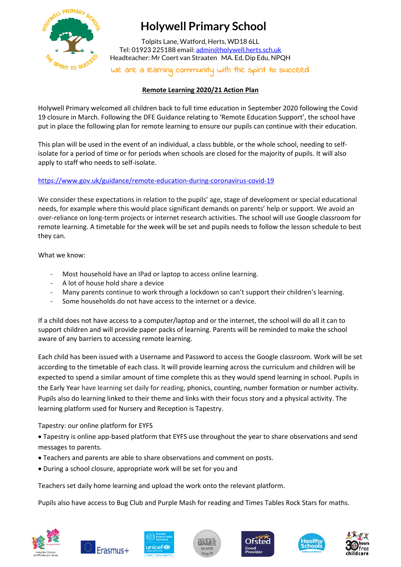

# **Holywell Primary School**

Tolpits Lane, Watford, Herts, WD18 6LL Tel: 01923 225188 email[: admin@holywell.herts.sch.uk](mailto:admin@holywell.herts.sch.uk) Headteacher: Mr Coert van Straaten MA. Ed, Dip Edu, NPQH

We are a learning community with the spirit to succeed

# **Remote Learning 2020/21 Action Plan**

Holywell Primary welcomed all children back to full time education in September 2020 following the Covid 19 closure in March. Following the DFE Guidance relating to 'Remote Education Support', the school have put in place the following plan for remote learning to ensure our pupils can continue with their education.

This plan will be used in the event of an individual, a class bubble, or the whole school, needing to selfisolate for a period of time or for periods when schools are closed for the majority of pupils. It will also apply to staff who needs to self-isolate.

# <https://www.gov.uk/guidance/remote-education-during-coronavirus-covid-19>

We consider these expectations in relation to the pupils' age, stage of development or special educational needs, for example where this would place significant demands on parents' help or support. We avoid an over-reliance on long-term projects or internet research activities. The school will use Google classroom for remote learning. A timetable for the week will be set and pupils needs to follow the lesson schedule to best they can.

What we know:

- Most household have an IPad or laptop to access online learning.
- A lot of house hold share a device
- Many parents continue to work through a lockdown so can't support their children's learning.
- Some households do not have access to the internet or a device.

If a child does not have access to a computer/laptop and or the internet, the school will do all it can to support children and will provide paper packs of learning. Parents will be reminded to make the school aware of any barriers to accessing remote learning.

Each child has been issued with a Username and Password to access the Google classroom. Work will be set according to the timetable of each class. It will provide learning across the curriculum and children will be expected to spend a similar amount of time complete this as they would spend learning in school. Pupils in the Early Year have learning set daily for reading, phonics, counting, number formation or number activity. Pupils also do learning linked to their theme and links with their focus story and a physical activity. The learning platform used for Nursery and Reception is Tapestry.

Tapestry: our online platform for EYFS

 Tapestry is online app-based platform that EYFS use throughout the year to share observations and send messages to parents.

- Teachers and parents are able to share observations and comment on posts.
- During a school closure, appropriate work will be set for you and

Teachers set daily home learning and upload the work onto the relevant platform.

Pupils also have access to Bug Club and Purple Mash for reading and Times Tables Rock Stars for maths.













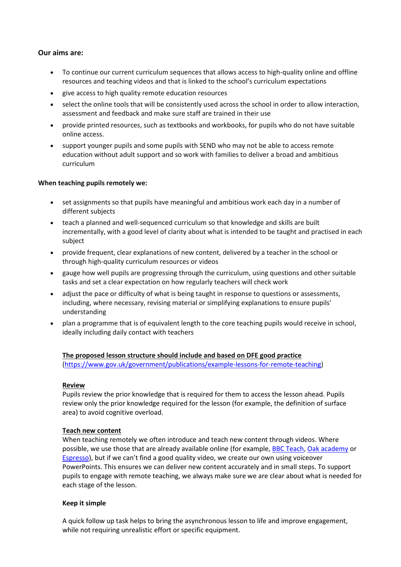# **Our aims are:**

- To continue our current curriculum sequences that allows access to high-quality online and offline resources and teaching videos and that is linked to the school's curriculum expectations
- give access to high quality remote education resources
- select the online tools that will be consistently used across the school in order to allow interaction, assessment and feedback and make sure staff are trained in their use
- provide printed resources, such as textbooks and workbooks, for pupils who do not have suitable online access.
- support younger pupils and some pupils with SEND who may not be able to access remote education without adult support and so work with families to deliver a broad and ambitious curriculum

# **When teaching pupils remotely we:**

- set assignments so that pupils have meaningful and ambitious work each day in a number of different subjects
- teach a planned and well-sequenced curriculum so that knowledge and skills are built incrementally, with a good level of clarity about what is intended to be taught and practised in each subject
- provide frequent, clear explanations of new content, delivered by a teacher in the school or through high-quality curriculum resources or videos
- gauge how well pupils are progressing through the curriculum, using questions and other suitable tasks and set a clear expectation on how regularly teachers will check work
- adjust the pace or difficulty of what is being taught in response to questions or assessments, including, where necessary, revising material or simplifying explanations to ensure pupils' understanding
- plan a programme that is of equivalent length to the core teaching pupils would receive in school, ideally including daily contact with teachers

# **The proposed lesson structure should include and based on DFE good practice**

[\(https://www.gov.uk/government/publications/example-lessons-for-remote-teaching\)](https://www.gov.uk/government/publications/example-lessons-for-remote-teaching)

# **Review**

Pupils review the prior knowledge that is required for them to access the lesson ahead. Pupils review only the prior knowledge required for the lesson (for example, the definition of surface area) to avoid cognitive overload.

# **Teach new content**

When teaching remotely we often introduce and teach new content through videos. Where possible, we use those that are already available online (for example, [BBC Teach,](https://www.bbc.co.uk/teach) [Oak academy](https://www.thenational.academy/) or [Espresso\)](https://central.espresso.co.uk/espresso/primary_uk/home/index.html), but if we can't find a good quality video, we create our own using voiceover PowerPoints. This ensures we can deliver new content accurately and in small steps. To support pupils to engage with remote teaching, we always make sure we are clear about what is needed for each stage of the lesson.

# **Keep it simple**

A quick follow up task helps to bring the asynchronous lesson to life and improve engagement, while not requiring unrealistic effort or specific equipment.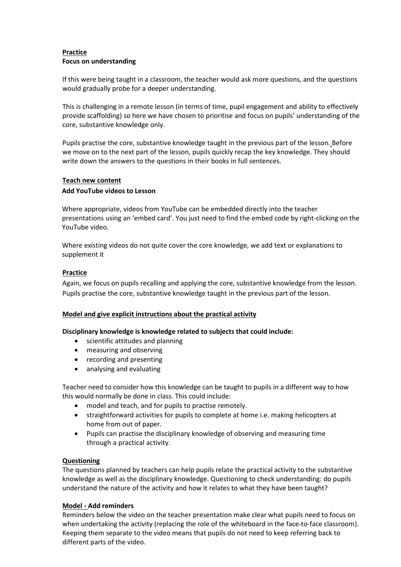# **Practice Focus on understanding**

If this were being taught in a classroom, the teacher would ask more questions, and the questions would gradually probe for a deeper understanding.

This is challenging in a remote lesson (in terms of time, pupil engagement and ability to effectively provide scaffolding) so here we have chosen to prioritise and focus on pupils' understanding of the core, substantive knowledge only.

Pupils practise the core, substantive knowledge taught in the previous part of the lesson. Before we move on to the next part of the lesson, pupils quickly recap the key knowledge. They should write down the answers to the questions in their books in full sentences.

# **Teach new content**

# **Add YouTube videos to Lesson**

Where appropriate, videos from YouTube can be embedded directly into the teacher presentations using an 'embed card'. You just need to find the embed code by right-clicking on the YouTube video.

Where existing videos do not quite cover the core knowledge, we add text or explanations to supplement it

# **Practice**

Again, we focus on pupils recalling and applying the core, substantive knowledge from the lesson. Pupils practise the core, substantive knowledge taught in the previous part of the lesson.

# **Model and give explicit instructions about the practical activity**

# **Disciplinary knowledge is knowledge related to subjects that could include:**

- scientific attitudes and planning
- measuring and observing
- recording and presenting
- analysing and evaluating

Teacher need to consider how this knowledge can be taught to pupils in a different way to how this would normally be done in class. This could include:

- model and teach, and for pupils to practise remotely.
- straightforward activities for pupils to complete at home i.e. making helicopters at home from out of paper.
- Pupils can practise the disciplinary knowledge of observing and measuring time through a practical activity.

# **Questioning**

The questions planned by teachers can help pupils relate the practical activity to the substantive knowledge as well as the disciplinary knowledge. Questioning to check understanding: do pupils understand the nature of the activity and how it relates to what they have been taught?

# **Model - Add reminders**

Reminders below the video on the teacher presentation make clear what pupils need to focus on when undertaking the activity (replacing the role of the whiteboard in the face-to-face classroom). Keeping them separate to the video means that pupils do not need to keep referring back to different parts of the video.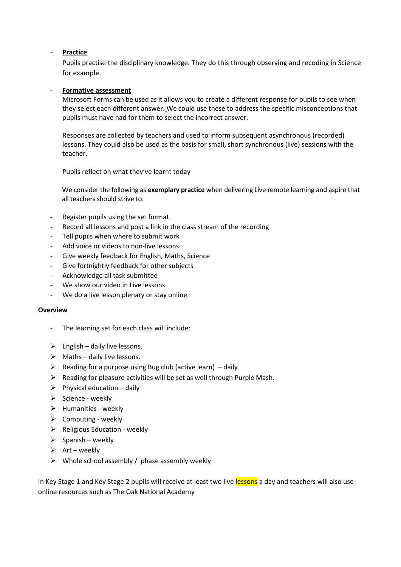# - **Practice**

Pupils practise the disciplinary knowledge. They do this through observing and recoding in Science for example.

# - **Formative assessment**

Microsoft Forms can be used as it allows you to create a different response for pupils to see when they select each different answer. We could use these to address the specific misconceptions that pupils must have had for them to select the incorrect answer.

Responses are collected by teachers and used to inform subsequent asynchronous (recorded) lessons. They could also be used as the basis for small, short synchronous (live) sessions with the teacher.

Pupils reflect on what they've learnt today

We consider the following as **exemplary practice** when delivering Live remote learning and aspire that all teachers should strive to:

- Register pupils using the set format.
- Record all lessons and post a link in the class stream of the recording
- Tell pupils when where to submit work
- Add voice or videos to non-live lessons
- Give weekly feedback for English, Maths, Science
- Give fortnightly feedback for other subjects
- Acknowledge all task submitted
- We show our video in Live lessons
- We do a live lesson plenary or stay online

# **Overview**

- The learning set for each class will include:
- $\triangleright$  English daily live lessons.
- $\triangleright$  Maths daily live lessons.
- $\triangleright$  Reading for a purpose using Bug club (active learn) daily
- $\triangleright$  Reading for pleasure activities will be set as well through Purple Mash.
- $\triangleright$  Physical education daily
- $\triangleright$  Science weekly
- $\blacktriangleright$  Humanities weekly
- $\triangleright$  Computing weekly
- $\triangleright$  Religious Education weekly
- $\triangleright$  Spanish weekly
- $\triangleright$  Art weekly
- $\triangleright$  Whole school assembly / phase assembly weekly

In Key Stage 1 and Key Stage 2 pupils will receive at least two live lessons a day and teachers will also use online resources such as The Oak National Academy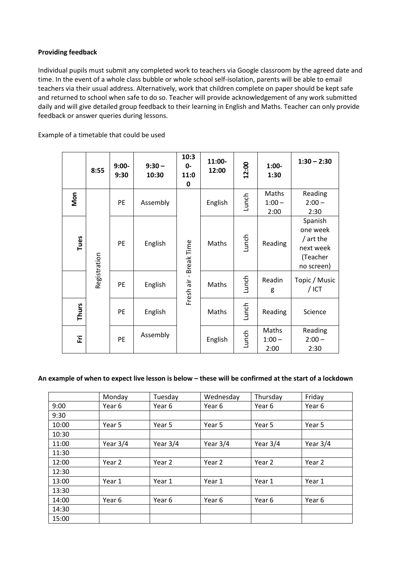# **Providing feedback**

Individual pupils must submit any completed work to teachers via Google classroom by the agreed date and time. In the event of a whole class bubble or whole school self-isolation, parents will be able to email teachers via their usual address. Alternatively, work that children complete on paper should be kept safe and returned to school when safe to do so. Teacher will provide acknowledgement of any work submitted daily and will give detailed group feedback to their learning in English and Maths. Teacher can only provide feedback or answer queries during lessons.

Example of a timetable that could be used

|              | 8:55         | $9:00-$<br>9:30 | $9:30 -$<br>10:30 | 10:3<br>0-<br>11:0<br>0 | 11:00-<br>12:00 | 12:00 | $1:00-$<br>1:30           | $1:30 - 2:30$                                                           |
|--------------|--------------|-----------------|-------------------|-------------------------|-----------------|-------|---------------------------|-------------------------------------------------------------------------|
| Mon          | Registration | <b>PE</b>       | Assembly          | Fresh air - Break Time  | English         | Lunch | Maths<br>$1:00 -$<br>2:00 | Reading<br>$2:00 -$<br>2:30                                             |
| Tues         |              | PE              | English           |                         | Maths           | Lunch | Reading                   | Spanish<br>one week<br>/ art the<br>next week<br>(Teacher<br>no screen) |
|              |              | PE              | English           |                         | Maths           | Lunch | Readin<br>g               | Topic / Music<br>$/$ ICT                                                |
| <b>Thurs</b> |              | <b>PE</b>       | English           |                         | Maths           | Lunch | Reading                   | Science                                                                 |
| 证            |              | PE              | Assembly          |                         | English         | Lunch | Maths<br>$1:00 -$<br>2:00 | Reading<br>$2:00 -$<br>2:30                                             |

# **An example of when to expect live lesson is below – these will be confirmed at the start of a lockdown**

|       | Monday   | Tuesday    | Wednesday  | Thursday   | Friday     |
|-------|----------|------------|------------|------------|------------|
| 9:00  | Year 6   | Year 6     | Year 6     | Year 6     | Year 6     |
| 9:30  |          |            |            |            |            |
| 10:00 | Year 5   | Year 5     | Year 5     | Year 5     | Year 5     |
| 10:30 |          |            |            |            |            |
| 11:00 | Year 3/4 | Year $3/4$ | Year $3/4$ | Year $3/4$ | Year $3/4$ |
| 11:30 |          |            |            |            |            |
| 12:00 | Year 2   | Year 2     | Year 2     | Year 2     | Year 2     |
| 12:30 |          |            |            |            |            |
| 13:00 | Year 1   | Year 1     | Year 1     | Year 1     | Year 1     |
| 13:30 |          |            |            |            |            |
| 14:00 | Year 6   | Year 6     | Year 6     | Year 6     | Year 6     |
| 14:30 |          |            |            |            |            |
| 15:00 |          |            |            |            |            |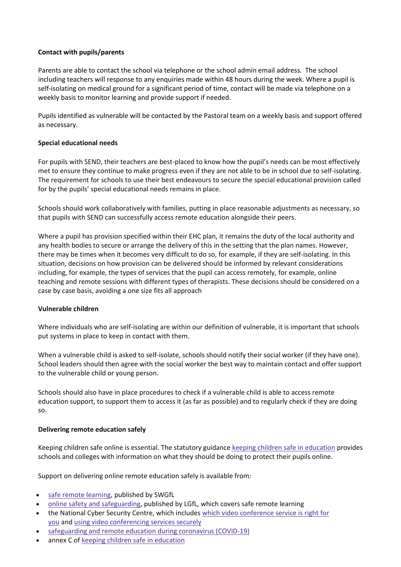# **Contact with pupils/parents**

Parents are able to contact the school via telephone or the school admin email address. The school including teachers will response to any enquiries made within 48 hours during the week. Where a pupil is self-isolating on medical ground for a significant period of time, contact will be made via telephone on a weekly basis to monitor learning and provide support if needed.

Pupils identified as vulnerable will be contacted by the Pastoral team on a weekly basis and support offered as necessary.

# **Special educational needs**

For pupils with SEND, their teachers are best-placed to know how the pupil's needs can be most effectively met to ensure they continue to make progress even if they are not able to be in school due to self-isolating. The requirement for schools to use their best endeavours to secure the special educational provision called for by the pupils' special educational needs remains in place.

Schools should work collaboratively with families, putting in place reasonable adjustments as necessary, so that pupils with SEND can successfully access remote education alongside their peers.

Where a pupil has provision specified within their EHC plan, it remains the duty of the local authority and any health bodies to secure or arrange the delivery of this in the setting that the plan names. However, there may be times when it becomes very difficult to do so, for example, if they are self-isolating. In this situation, decisions on how provision can be delivered should be informed by relevant considerations including, for example, the types of services that the pupil can access remotely, for example, online teaching and remote sessions with different types of therapists. These decisions should be considered on a case by case basis, avoiding a one size fits all approach

# **Vulnerable children**

Where individuals who are self-isolating are within our definition of vulnerable, it is important that schools put systems in place to keep in contact with them.

When a vulnerable child is asked to self-isolate, schools should notify their social worker (if they have one). School leaders should then agree with the social worker the best way to maintain contact and offer support to the vulnerable child or young person.

Schools should also have in place procedures to check if a vulnerable child is able to access remote education support, to support them to access it (as far as possible) and to regularly check if they are doing so.

# **Delivering remote education safely**

Keeping children safe online is essential. The statutory guidance keeping children safe in [education](https://www.gov.uk/government/publications/keeping-children-safe-in-education--2) provides schools and colleges with information on what they should be doing to protect their pupils online.

Support on delivering online remote education safely is available from:

- safe remote [learning,](https://swgfl.org.uk/resources/safe-remote-learning) published by SWGfL
- online safety and [safeguarding,](https://www.lgfl.net/online-safety/default.aspx) published by LGfL, which covers safe remote learning
- the National Cyber Security Centre, which includes which video [conference](https://www.ncsc.gov.uk/guidance/video-conferencing-services-security-guidance-organisations) service is right for [you](https://www.ncsc.gov.uk/guidance/video-conferencing-services-security-guidance-organisations) and using video [conferencing](https://www.ncsc.gov.uk/guidance/video-conferencing-services-using-them-securely) services securely
- [safeguarding](https://www.gov.uk/guidance/safeguarding-and-remote-education-during-coronavirus-covid-19) and remote education during coronavirus (COVID-19)
- annex C of keeping children safe in [education](https://www.gov.uk/government/publications/keeping-children-safe-in-education--2)